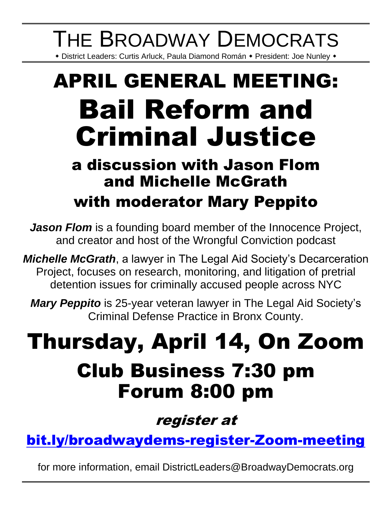# THE BROADWAY DEMOCRATS

\* District Leaders: Curtis Arluck, Paula Diamond Román \* President: Joe Nunley \*

# APRIL GENERAL MEETING: Bail Reform and Criminal Justice

### a discussion with Jason Flom and Michelle McGrath with moderator Mary Peppito

*Jason Flom* is a founding board member of the Innocence Project, and creator and host of the Wrongful Conviction podcast

*Michelle McGrath*, a lawyer in The Legal Aid Society's Decarceration Project, focuses on research, monitoring, and litigation of pretrial detention issues for criminally accused people across NYC

*Mary Peppito* is 25-year veteran lawyer in The Legal Aid Society's Criminal Defense Practice in Bronx County.

## Thursday, April 14, On Zoom Club Business 7:30 pm Forum 8:00 pm

register at

[bit.ly/broadwaydems-register-Zoom-meeting](https://bit.ly/broadwaydems-register-Zoom-meeting)

for more information, email DistrictLeaders@BroadwayDemocrats.org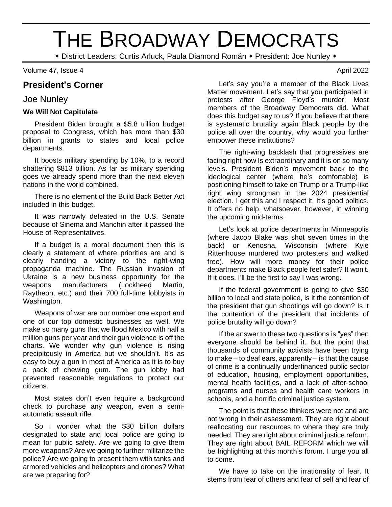## THE BROADWAY DEMOCRATS

\* District Leaders: Curtis Arluck, Paula Diamond Román \* President: Joe Nunley \*

Volume 47, Issue 4 April 2022

#### **President's Corner**

#### Joe Nunley

#### **We Will Not Capitulate**

President Biden brought a \$5.8 trillion budget proposal to Congress, which has more than \$30 billion in grants to states and local police departments.

It boosts military spending by 10%, to a record shattering \$813 billion. As far as military spending goes we already spend more than the next eleven nations in the world combined.

There is no element of the Build Back Better Act included in this budget.

It was narrowly defeated in the U.S. Senate because of Sinema and Manchin after it passed the House of Representatives.

If a budget is a moral document then this is clearly a statement of where priorities are and is clearly handing a victory to the right-wing propaganda machine. The Russian invasion of Ukraine is a new business opportunity for the weapons manufacturers (Lockheed Martin, Raytheon, etc.) and their 700 full-time lobbyists in Washington.

Weapons of war are our number one export and one of our top domestic businesses as well. We make so many guns that we flood Mexico with half a million guns per year and their gun violence is off the charts. We wonder why gun violence is rising precipitously in America but we shouldn't. It's as easy to buy a gun in most of America as it is to buy a pack of chewing gum. The gun lobby had prevented reasonable regulations to protect our citizens.

Most states don't even require a background check to purchase any weapon, even a semiautomatic assault rifle.

So I wonder what the \$30 billion dollars designated to state and local police are going to mean for public safety. Are we going to give them more weapons? Are we going to further militarize the police? Are we going to present them with tanks and armored vehicles and helicopters and drones? What are we preparing for?

Let's say you're a member of the Black Lives Matter movement. Let's say that you participated in protests after George Floyd's murder. Most members of the Broadway Democrats did. What does this budget say to us? If you believe that there is systematic brutality again Black people by the police all over the country, why would you further empower these institutions?

The right-wing backlash that progressives are facing right now Is extraordinary and it is on so many levels. President Biden's movement back to the ideological center (where he's comfortable) is positioning himself to take on Trump or a Trump-like right wing strongman in the 2024 presidential election. I get this and I respect it. It's good politics. It offers no help, whatsoever, however, in winning the upcoming mid-terms.

Let's look at police departments in Minneapolis (where Jacob Blake was shot seven times in the back) or Kenosha, Wisconsin (where Kyle Rittenhouse murdered two protesters and walked free). How will more money for their police departments make Black people feel safer? It won't. If it does, I'll be the first to say I was wrong.

If the federal government is going to give \$30 billion to local and state police, is it the contention of the president that gun shootings will go down? Is it the contention of the president that incidents of police brutality will go down?

If the answer to these two questions is "yes" then everyone should be behind it. But the point that thousands of community activists have been trying to make – to deaf ears, apparently – is that the cause of crime is a continually underfinanced public sector of education, housing, employment opportunities, mental health facilities, and a lack of after-school programs and nurses and health care workers in schools, and a horrific criminal justice system.

The point is that these thinkers were not and are not wrong in their assessment. They are right about reallocating our resources to where they are truly needed. They are right about criminal justice reform. They are right about BAIL REFORM which we will be highlighting at this month's forum. I urge you all to come.

We have to take on the irrationality of fear. It stems from fear of others and fear of self and fear of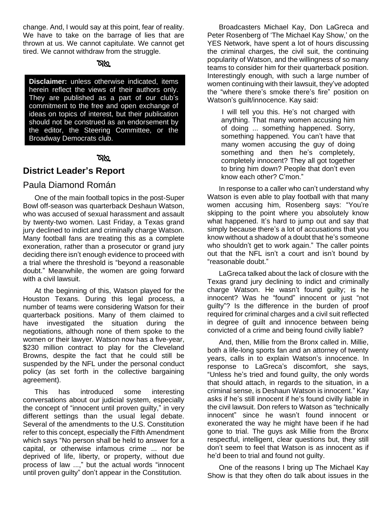change. And, I would say at this point, fear of reality. We have to take on the barrage of lies that are thrown at us. We cannot capitulate. We cannot get tired. We cannot withdraw from the struggle.

#### **RKL**

**Disclaimer:** unless otherwise indicated, items herein reflect the views of their authors only. They are published as a part of our club's commitment to the free and open exchange of ideas on topics of interest, but their publication should not be construed as an endorsement by the editor, the Steering Committee, or the Broadway Democrats club.

#### তথ্য

#### **District Leader's Report**

#### Paula Diamond Román

One of the main football topics in the post-Super Bowl off-season was quarterback Deshaun Watson, who was accused of sexual harassment and assault by twenty-two women. Last Friday, a Texas grand jury declined to indict and criminally charge Watson. Many football fans are treating this as a complete exoneration, rather than a prosecutor or grand jury deciding there isn't enough evidence to proceed with a trial where the threshold is "beyond a reasonable doubt." Meanwhile, the women are going forward with a civil lawsuit.

At the beginning of this, Watson played for the Houston Texans. During this legal process, a number of teams were considering Watson for their quarterback positions. Many of them claimed to have investigated the situation during the negotiations, although none of them spoke to the women or their lawyer. Watson now has a five-year, \$230 million contract to play for the Cleveland Browns, despite the fact that he could still be suspended by the NFL under the personal conduct policy (as set forth in the collective bargaining agreement).

This has introduced some interesting conversations about our judicial system, especially the concept of "innocent until proven guilty," in very different settings than the usual legal debate. Several of the amendments to the U.S. Constitution refer to this concept, especially the Fifth Amendment which says "No person shall be held to answer for a capital, or otherwise infamous crime ... nor be deprived of life, liberty, or property, without due process of law ...," but the actual words "innocent until proven guilty" don't appear in the Constitution.

Broadcasters Michael Kay, Don LaGreca and Peter Rosenberg of 'The Michael Kay Show,' on the YES Network, have spent a lot of hours discussing the criminal charges, the civil suit, the continuing popularity of Watson, and the willingness of so many teams to consider him for their quarterback position. Interestingly enough, with such a large number of women continuing with their lawsuit, they've adopted the "where there's smoke there's fire" position on Watson's guilt/innocence. Kay said:

I will tell you this. He's not charged with anything. That many women accusing him of doing ... something happened. Sorry, something happened. You can't have that many women accusing the guy of doing something and then he's completely, completely innocent? They all got together to bring him down? People that don't even know each other? C'mon."

In response to a caller who can't understand why Watson is even able to play football with that many women accusing him, Rosenberg says: "You're skipping to the point where you absolutely know what happened. It's hard to jump out and say that simply because there's a lot of accusations that you know without a shadow of a doubt that he's someone who shouldn't get to work again." The caller points out that the NFL isn't a court and isn't bound by "reasonable doubt."

LaGreca talked about the lack of closure with the Texas grand jury declining to indict and criminally charge Watson. He wasn't found guilty; is he innocent? Was he "found" innocent or just "not guilty"? Is the difference in the burden of proof required for criminal charges and a civil suit reflected in degree of guilt and innocence between being convicted of a crime and being found civilly liable?

And, then, Millie from the Bronx called in. Millie, both a life-long sports fan and an attorney of twenty years, calls in to explain Watson's innocence. In response to LaGreca's discomfort, she says, "Unless he's tried and found guilty, the only words that should attach, in regards to the situation, in a criminal sense, is Deshaun Watson is innocent." Kay asks if he's still innocent if he's found civilly liable in the civil lawsuit. Don refers to Watson as "technically innocent" since he wasn't found innocent or exonerated the way he might have been if he had gone to trial. The guys ask Millie from the Bronx respectful, intelligent, clear questions but, they still don't seem to feel that Watson is as innocent as if he'd been to trial and found not guilty.

One of the reasons I bring up The Michael Kay Show is that they often do talk about issues in the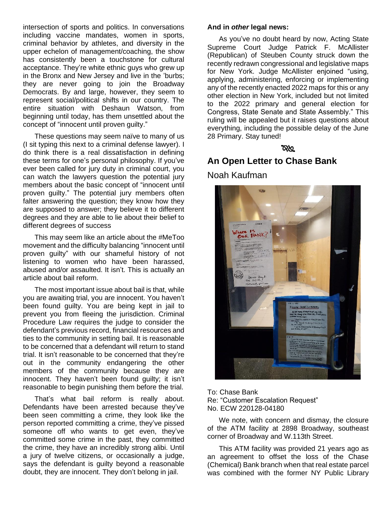intersection of sports and politics. In conversations including vaccine mandates, women in sports, criminal behavior by athletes, and diversity in the upper echelon of management/coaching, the show has consistently been a touchstone for cultural acceptance. They're white ethnic guys who grew up in the Bronx and New Jersey and live in the 'burbs; they are never going to join the Broadway Democrats. By and large, however, they seem to represent social/political shifts in our country. The entire situation with Deshaun Watson, from beginning until today, has them unsettled about the concept of "innocent until proven guilty."

These questions may seem naïve to many of us (I sit typing this next to a criminal defense lawyer). I do think there is a real dissatisfaction in defining these terms for one's personal philosophy. If you've ever been called for jury duty in criminal court, you can watch the lawyers question the potential jury members about the basic concept of "innocent until proven guilty." The potential jury members often falter answering the question; they know how they are supposed to answer; they believe it to different degrees and they are able to lie about their belief to different degrees of success

This may seem like an article about the #MeToo movement and the difficulty balancing "innocent until proven guilty" with our shameful history of not listening to women who have been harassed, abused and/or assaulted. It isn't. This is actually an article about bail reform.

The most important issue about bail is that, while you are awaiting trial, you are innocent. You haven't been found guilty. You are being kept in jail to prevent you from fleeing the jurisdiction. Criminal Procedure Law requires the judge to consider the defendant's previous record, financial resources and ties to the community in setting bail. It is reasonable to be concerned that a defendant will return to stand trial. It isn't reasonable to be concerned that they're out in the community endangering the other members of the community because they are innocent. They haven't been found guilty; it isn't reasonable to begin punishing them before the trial.

That's what bail reform is really about. Defendants have been arrested because they've been seen committing a crime, they look like the person reported committing a crime, they've pissed someone off who wants to get even, they've committed some crime in the past, they committed the crime, they have an incredibly strong alibi. Until a jury of twelve citizens, or occasionally a judge, says the defendant is guilty beyond a reasonable doubt, they are innocent. They don't belong in jail.

#### **And in** *other* **legal news:**

As you've no doubt heard by now, Acting State Supreme Court Judge Patrick F. McAllister (Republican) of Steuben County struck down the recently redrawn congressional and legislative maps for New York. Judge McAllister enjoined "using, applying, administering, enforcing or implementing any of the recently enacted 2022 maps for this or any other election in New York, included but not limited to the 2022 primary and general election for Congress, State Senate and State Assembly." This ruling will be appealed but it raises questions about everything, including the possible delay of the June 28 Primary. Stay tuned!

#### **RKL**

#### **An Open Letter to Chase Bank**

Noah Kaufman



To: Chase Bank Re: "Customer Escalation Request" No. ECW 220128-04180

We note, with concern and dismay, the closure of the ATM facility at 2898 Broadway, southeast corner of Broadway and W.113th Street.

This ATM facility was provided 21 years ago as an agreement to offset the loss of the Chase (Chemical) Bank branch when that real estate parcel was combined with the former NY Public Library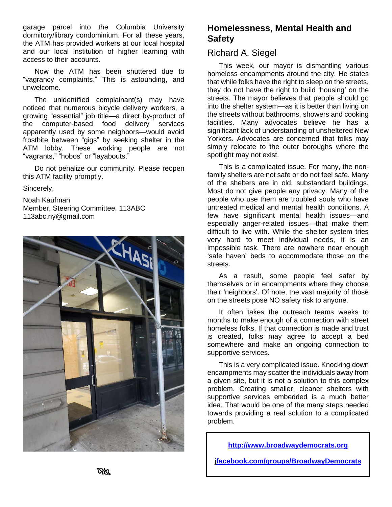garage parcel into the Columbia University dormitory/library condominium. For all these years, the ATM has provided workers at our local hospital and our local institution of higher learning with access to their accounts.

Now the ATM has been shuttered due to "vagrancy complaints." This is astounding, and unwelcome.

The unidentified complainant(s) may have noticed that numerous bicycle delivery workers, a growing "essential" job title—a direct by-product of the computer-based food delivery services apparently used by some neighbors—would avoid frostbite between "gigs" by seeking shelter in the ATM lobby. These working people are not "vagrants," "hobos" or "layabouts."

Do not penalize our community. Please reopen this ATM facility promptly.

Sincerely,

Noah Kaufman Member, Steering Committee, 113ABC 113abc.ny@gmail.com



#### **Homelessness, Mental Health and Safety**

#### Richard A. Siegel

This week, our mayor is dismantling various homeless encampments around the city. He states that while folks have the right to sleep on the streets, they do not have the right to build 'housing' on the streets. The mayor believes that people should go into the shelter system—as it is better than living on the streets without bathrooms, showers and cooking facilities. Many advocates believe he has a significant lack of understanding of unsheltered New Yorkers. Advocates are concerned that folks may simply relocate to the outer boroughs where the spotlight may not exist.

This is a complicated issue. For many, the nonfamily shelters are not safe or do not feel safe. Many of the shelters are in old, substandard buildings. Most do not give people any privacy. Many of the people who use them are troubled souls who have untreated medical and mental health conditions. A few have significant mental health issues—and especially anger-related issues—that make them difficult to live with. While the shelter system tries very hard to meet individual needs, it is an impossible task. There are nowhere near enough 'safe haven' beds to accommodate those on the streets.

As a result, some people feel safer by themselves or in encampments where they choose their 'neighbors'. Of note, the vast majority of those on the streets pose NO safety risk to anyone.

It often takes the outreach teams weeks to months to make enough of a connection with street homeless folks. If that connection is made and trust is created, folks may agree to accept a bed somewhere and make an ongoing connection to supportive services.

This is a very complicated issue. Knocking down encampments may scatter the individuals away from a given site, but it is not a solution to this complex problem. Creating smaller, cleaner shelters with supportive services embedded is a much better idea. That would be one of the many steps needed towards providing a real solution to a complicated problem.

**[http://www.broadwaydemocrats.org](http://www.broadwaydemocrats.org/)**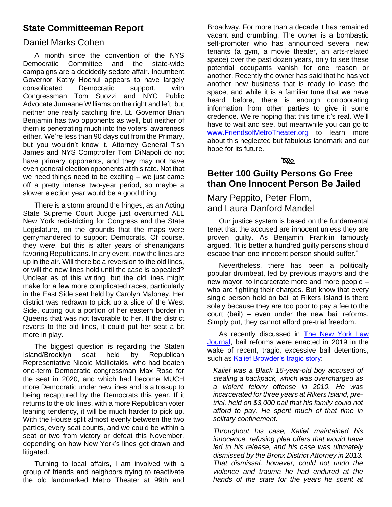#### **State Committeeman Report**

#### Daniel Marks Cohen

A month since the convention of the NYS Democratic Committee and the state-wide campaigns are a decidedly sedate affair. Incumbent Governor Kathy Hochul appears to have largely consolidated Democratic support, with Congressman Tom Suozzi and NYC Public Advocate Jumaane Williams on the right and left, but neither one really catching fire. Lt. Governor Brian Benjamin has two opponents as well, but neither of them is penetrating much into the voters' awareness either. We're less than 90 days out from the Primary, but you wouldn't know it. Attorney General Tish James and NYS Comptroller Tom DiNapoli do not have primary opponents, and they may not have even general election opponents at this rate. Not that we need things need to be exciting – we just came off a pretty intense two-year period, so maybe a slower election year would be a good thing.

There is a storm around the fringes, as an Acting State Supreme Court Judge just overturned ALL New York redistricting for Congress and the State Legislature, on the grounds that the maps were gerrymandered to support Democrats. Of course, they *were*, but this is after years of shenanigans favoring Republicans. In any event, now the lines are up in the air. Will there be a reversion to the old lines, or will the new lines hold until the case is appealed? Unclear as of this writing, but the old lines might make for a few more complicated races, particularly in the East Side seat held by Carolyn Maloney. Her district was redrawn to pick up a slice of the West Side, cutting out a portion of her eastern border in Queens that was not favorable to her. If the district reverts to the old lines, it could put her seat a bit more in play.

The biggest question is regarding the Staten Island/Brooklyn seat held by Republican Representative Nicole Malliotakis, who had beaten one-term Democratic congressman Max Rose for the seat in 2020, and which had become MUCH more Democratic under new lines and is a tossup to being recaptured by the Democrats this year. If it returns to the old lines, with a more Republican voter leaning tendency, it will be much harder to pick up. With the House split almost evenly between the two parties, every seat counts, and we could be within a seat or two from victory or defeat this November, depending on how New York's lines get drawn and litigated.

Turning to local affairs, I am involved with a group of friends and neighbors trying to reactivate the old landmarked Metro Theater at 99th and

Broadway. For more than a decade it has remained vacant and crumbling. The owner is a bombastic self-promoter who has announced several new tenants (a gym, a movie theater, an arts-related space) over the past dozen years, only to see these potential occupants vanish for one reason or another. Recently the owner has said that he has yet another new business that is ready to lease the space, and while it is a familiar tune that we have heard before, there is enough corroborating information from other parties to give it some credence. We're hoping that this time it's real. We'll have to wait and see, but meanwhile you can go to [www.FriendsofMetroTheater.org](http://www.friendsofmetrotheater.org/) to learn more about this neglected but fabulous landmark and our hope for its future.

#### **RKI**

#### **Better 100 Guilty Persons Go Free than One Innocent Person Be Jailed**

#### Mary Peppito, Peter Flom, and Laura Danford Mandel

Our justice system is based on the fundamental tenet that the accused are innocent unless they are proven guilty. As Benjamin Franklin famously argued, "It is better a hundred guilty persons should escape than one innocent person should suffer."

Nevertheless, there has been a politically popular drumbeat, led by previous mayors and the new mayor, to incarcerate more and more people – who are fighting their charges. But know that every single person held on bail at Rikers Island is there solely because they are too poor to pay a fee to the court (bail) – even under the new bail reforms. Simply put, they cannot afford pre-trial freedom.

As recently discussed in [The New York Law](https://www.law.com/newyorklawjournal/2022/02/10/bail-attorneys-set-the-record-straight-on-mayor-adams-call-to-upend-bail-reform/?slreturn=20220301013946)  [Journal,](https://www.law.com/newyorklawjournal/2022/02/10/bail-attorneys-set-the-record-straight-on-mayor-adams-call-to-upend-bail-reform/?slreturn=20220301013946) bail reforms were enacted in 2019 in the wake of recent, tragic, excessive bail detentions, such as [Kalief Browder's tragic story:](https://www.npr.org/sections/thetwo-way/2015/06/08/412842780/kalief-browder-jailed-for-years-at-rikers-island-without-trial-commits-suicide)

*Kalief was a Black 16-year-old boy accused of stealing a backpack, which was overcharged as a violent felony offense in 2010. He was incarcerated for three years at Rikers Island, pretrial, held on \$3,000 bail that his family could not afford to pay. He spent much of that time in solitary confinement.*

*Throughout his case, Kalief maintained his innocence, refusing plea offers that would have led to his release, and his case was ultimately dismissed by the Bronx District Attorney in 2013. That dismissal, however, could not undo the violence and trauma he had endured at the hands of the state for the years he spent at*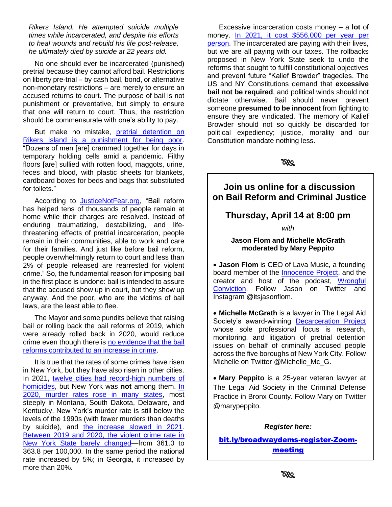*Rikers Island. He attempted suicide multiple times while incarcerated, and despite his efforts to heal wounds and rebuild his life post-release, he ultimately died by suicide at 22 years old.*

No one should ever be incarcerated (punished) pretrial because they cannot afford bail. Restrictions on liberty pre-trial – by cash bail, bond, or alternative non-monetary restrictions – are merely to ensure an accused returns to court. The purpose of bail is not punishment or preventative, but simply to ensure that one will return to court. Thus, the restriction should be commensurate with one's ability to pay.

But make no mistake, pretrial detention on [Rikers Island is a punishment for being poor.](https://nypost.com/2021/10/21/photos-inside-rikers-island-expose-hellish-deadly-conditions/) "Dozens of men [are] crammed together for days in temporary holding cells amid a pandemic. Filthy floors [are] sullied with rotten food, maggots, urine, feces and blood, with plastic sheets for blankets, cardboard boxes for beds and bags that substituted for toilets."

According to **JusticeNotFear.org**, "Bail reform has helped tens of thousands of people remain at home while their charges are resolved. Instead of enduring traumatizing, destabilizing, and lifethreatening effects of pretrial incarceration, people remain in their communities, able to work and care for their families. And just like before bail reform, people overwhelmingly return to court and less than 2% of people released are rearrested for violent crime." So, the fundamental reason for imposing bail in the first place is undone: bail is intended to assure that the accused show up in court, but they show up anyway. And the poor, who are the victims of bail laws, are the least able to flee.

The Mayor and some pundits believe that raising bail or rolling back the bail reforms of 2019, which were already rolled back in 2020, would reduce crime even though there is [no evidence that the bail](https://patch.com/new-york/new-york-city/no-evidence-bail-reform-rollback-will-reduce-nyc-crime-study?utm_source=amp&utm_campaign=amp&utm_medium=mobile&_gl=1)  [reforms contributed to an increase in crime.](https://patch.com/new-york/new-york-city/no-evidence-bail-reform-rollback-will-reduce-nyc-crime-study?utm_source=amp&utm_campaign=amp&utm_medium=mobile&_gl=1)

It is true that the rates of some crimes have risen in New York, but they have also risen in other cities. In 2021, [twelve cities had record-high numbers](https://abcnews.go.com/US/12-major-us-cities-top-annual-homicide-records/story?id=81466453) of [homicides,](https://abcnews.go.com/US/12-major-us-cities-top-annual-homicide-records/story?id=81466453) but New York was **not** among them. [In](https://www.pewresearch.org/fact-tank/2021/10/27/what-we-know-about-the-increase-in-u-s-murders-in-2020/)  [2020, murder rates rose in many states,](https://www.pewresearch.org/fact-tank/2021/10/27/what-we-know-about-the-increase-in-u-s-murders-in-2020/) most steeply in Montana, South Dakota, Delaware, and Kentucky. New York's murder rate is still below the levels of the 1990s (with fewer murders than deaths by suicide), and [the increase slowed in 2021.](https://www.nytimes.com/2021/09/22/upshot/murder-rise-2020.html) [Between 2019 and 2020, the violent crime rate in](https://en.wikipedia.org/wiki/List_of_U.S._states_and_territories_by_violent_crime_rate)  [New York State barely changed—](https://en.wikipedia.org/wiki/List_of_U.S._states_and_territories_by_violent_crime_rate)from 361.0 to 363.8 per 100,000. In the same period the national rate increased by 5%; in Georgia, it increased by more than 20%.

Excessive incarceration costs money – a **lot** of money. [In 2021, it cost \\$556,000 per year per](https://comptroller.nyc.gov/newsroom/comptroller-stringer-cost-of-incarceration-per-person-in-new-york-city-skyrockets-to-all-time-high-2/)  [person.](https://comptroller.nyc.gov/newsroom/comptroller-stringer-cost-of-incarceration-per-person-in-new-york-city-skyrockets-to-all-time-high-2/) The incarcerated are paying with their lives, but we are all paying with our taxes. The rollbacks proposed in New York State seek to undo the reforms that sought to fulfill constitutional objectives and prevent future "Kalief Browder" tragedies. The US and NY Constitutions demand that **excessive bail not be required**, and political winds should not dictate otherwise. Bail should never prevent someone **presumed to be innocent** from fighting to ensure they are vindicated. The memory of Kalief Browder should not so quickly be discarded for political expediency; justice, morality and our Constitution mandate nothing less.

#### **Join us online for a discussion on Bail Reform and Criminal Justice**

#### **Thursday, April 14 at 8:00 pm**

*with*

#### **Jason Flom and Michelle McGrath moderated by Mary Peppito**

• **Jason Flom** is CEO of Lava Music, a founding board member of the [Innocence Project,](https://innocenceproject.org/) and the creator and host of the podcast, [Wrongful](https://podcasts.apple.com/us/podcast/wrongful-conviction/id1151670380)  [Conviction.](https://podcasts.apple.com/us/podcast/wrongful-conviction/id1151670380) Follow Jason on Twitter and Instagram @itsjasonflom.

• **Michelle McGrath** is a lawyer in The Legal Aid Society's award-winning **[Decarceration Project](https://legalaidnyc.org/programs-projects-units/decarceration-project/)** whose sole professional focus is research, monitoring, and litigation of pretrial detention issues on behalf of criminally accused people across the five boroughs of New York City. Follow Michelle on Twitter @Michelle\_Mc\_G.

• **Mary Peppito** is a 25-year veteran lawyer at The Legal Aid Society in the Criminal Defense Practice in Bronx County. Follow Mary on Twitter @marypeppito.

*Register here:*

[bit.ly/broadwaydems-register-Zoom](https://bit.ly/broadwaydems-register-Zoom-meeting)[meeting](https://bit.ly/broadwaydems-register-Zoom-meeting)